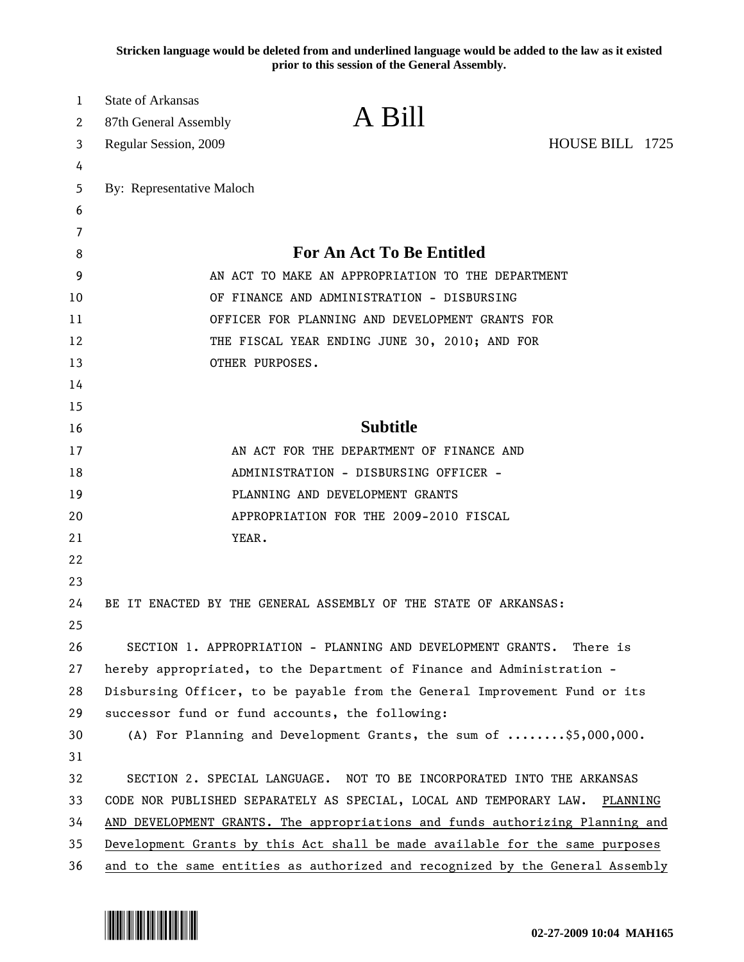**Stricken language would be deleted from and underlined language would be added to the law as it existed prior to this session of the General Assembly.**

| 1  | <b>State of Arkansas</b>                                                       |                                                                                    |                 |  |
|----|--------------------------------------------------------------------------------|------------------------------------------------------------------------------------|-----------------|--|
| 2  | 87th General Assembly                                                          | A Bill                                                                             |                 |  |
| 3  | Regular Session, 2009                                                          |                                                                                    | HOUSE BILL 1725 |  |
| 4  |                                                                                |                                                                                    |                 |  |
| 5  | By: Representative Maloch                                                      |                                                                                    |                 |  |
| 6  |                                                                                |                                                                                    |                 |  |
| 7  |                                                                                |                                                                                    |                 |  |
| 8  | <b>For An Act To Be Entitled</b>                                               |                                                                                    |                 |  |
| 9  | AN ACT TO MAKE AN APPROPRIATION TO THE DEPARTMENT                              |                                                                                    |                 |  |
| 10 | OF FINANCE AND ADMINISTRATION - DISBURSING                                     |                                                                                    |                 |  |
| 11 | OFFICER FOR PLANNING AND DEVELOPMENT GRANTS FOR                                |                                                                                    |                 |  |
| 12 | THE FISCAL YEAR ENDING JUNE 30, 2010; AND FOR                                  |                                                                                    |                 |  |
| 13 |                                                                                | OTHER PURPOSES.                                                                    |                 |  |
| 14 |                                                                                |                                                                                    |                 |  |
| 15 |                                                                                |                                                                                    |                 |  |
| 16 |                                                                                | <b>Subtitle</b>                                                                    |                 |  |
| 17 |                                                                                | AN ACT FOR THE DEPARTMENT OF FINANCE AND                                           |                 |  |
| 18 | ADMINISTRATION - DISBURSING OFFICER -                                          |                                                                                    |                 |  |
| 19 |                                                                                | PLANNING AND DEVELOPMENT GRANTS                                                    |                 |  |
| 20 |                                                                                | APPROPRIATION FOR THE 2009-2010 FISCAL                                             |                 |  |
| 21 | YEAR.                                                                          |                                                                                    |                 |  |
| 22 |                                                                                |                                                                                    |                 |  |
| 23 |                                                                                |                                                                                    |                 |  |
| 24 |                                                                                | BE IT ENACTED BY THE GENERAL ASSEMBLY OF THE STATE OF ARKANSAS:                    |                 |  |
| 25 |                                                                                |                                                                                    |                 |  |
| 26 |                                                                                | SECTION 1. APPROPRIATION - PLANNING AND DEVELOPMENT GRANTS. There is               |                 |  |
| 27 |                                                                                | hereby appropriated, to the Department of Finance and Administration -             |                 |  |
| 28 |                                                                                | Disbursing Officer, to be payable from the General Improvement Fund or its         |                 |  |
| 29 |                                                                                | successor fund or fund accounts, the following:                                    |                 |  |
| 30 |                                                                                | (A) For Planning and Development Grants, the sum of $\ldots \ldots$ , \$5,000,000. |                 |  |
| 31 |                                                                                |                                                                                    |                 |  |
| 32 |                                                                                | SECTION 2. SPECIAL LANGUAGE. NOT TO BE INCORPORATED INTO THE ARKANSAS              |                 |  |
| 33 | CODE NOR PUBLISHED SEPARATELY AS SPECIAL, LOCAL AND TEMPORARY LAW.<br>PLANNING |                                                                                    |                 |  |
| 34 | AND DEVELOPMENT GRANTS. The appropriations and funds authorizing Planning and  |                                                                                    |                 |  |
| 35 |                                                                                | Development Grants by this Act shall be made available for the same purposes       |                 |  |
| 36 |                                                                                | and to the same entities as authorized and recognized by the General Assembly      |                 |  |

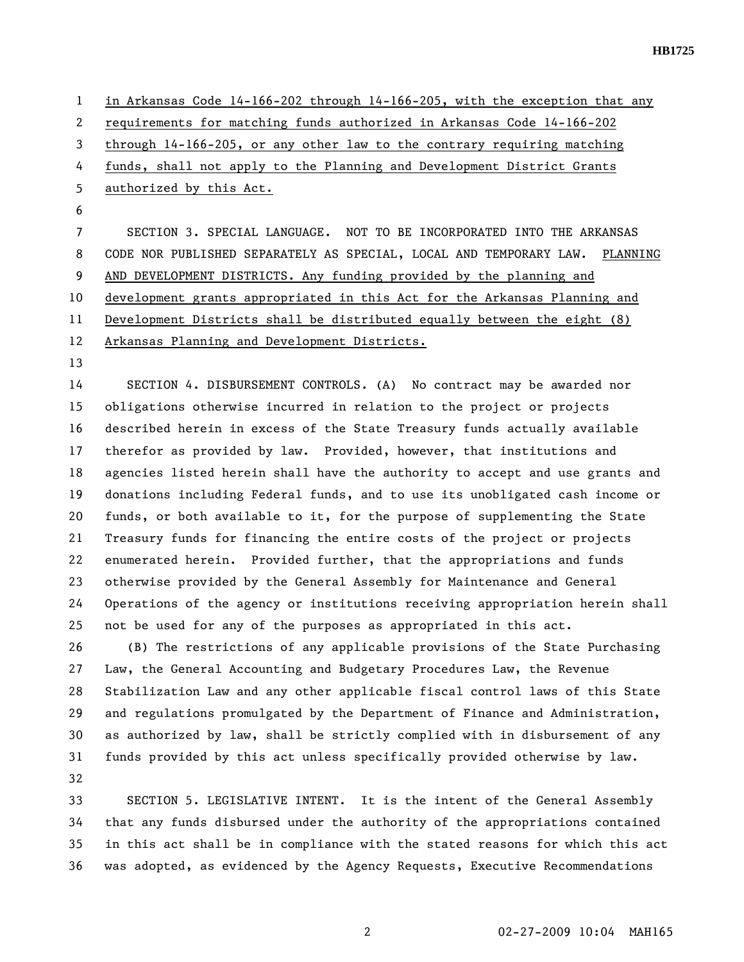1 in Arkansas Code 14-166-202 through 14-166-205, with the exception that any 2 requirements for matching funds authorized in Arkansas Code 14-166-202 3 through 14-166-205, or any other law to the contrary requiring matching 4 funds, shall not apply to the Planning and Development District Grants 5 authorized by this Act. 6 7 SECTION 3. SPECIAL LANGUAGE. NOT TO BE INCORPORATED INTO THE ARKANSAS 8 CODE NOR PUBLISHED SEPARATELY AS SPECIAL, LOCAL AND TEMPORARY LAW. PLANNING 9 AND DEVELOPMENT DISTRICTS. Any funding provided by the planning and 10 development grants appropriated in this Act for the Arkansas Planning and 11 Development Districts shall be distributed equally between the eight (8) 12 Arkansas Planning and Development Districts. 13 14 SECTION 4. DISBURSEMENT CONTROLS. (A) No contract may be awarded nor 15 obligations otherwise incurred in relation to the project or projects 16 described herein in excess of the State Treasury funds actually available 17 therefor as provided by law. Provided, however, that institutions and

18 agencies listed herein shall have the authority to accept and use grants and 19 donations including Federal funds, and to use its unobligated cash income or 20 funds, or both available to it, for the purpose of supplementing the State 21 Treasury funds for financing the entire costs of the project or projects 22 enumerated herein. Provided further, that the appropriations and funds 23 otherwise provided by the General Assembly for Maintenance and General 24 Operations of the agency or institutions receiving appropriation herein shall 25 not be used for any of the purposes as appropriated in this act.

26 (B) The restrictions of any applicable provisions of the State Purchasing 27 Law, the General Accounting and Budgetary Procedures Law, the Revenue 28 Stabilization Law and any other applicable fiscal control laws of this State 29 and regulations promulgated by the Department of Finance and Administration, 30 as authorized by law, shall be strictly complied with in disbursement of any 31 funds provided by this act unless specifically provided otherwise by law. 32

33 SECTION 5. LEGISLATIVE INTENT. It is the intent of the General Assembly 34 that any funds disbursed under the authority of the appropriations contained 35 in this act shall be in compliance with the stated reasons for which this act 36 was adopted, as evidenced by the Agency Requests, Executive Recommendations